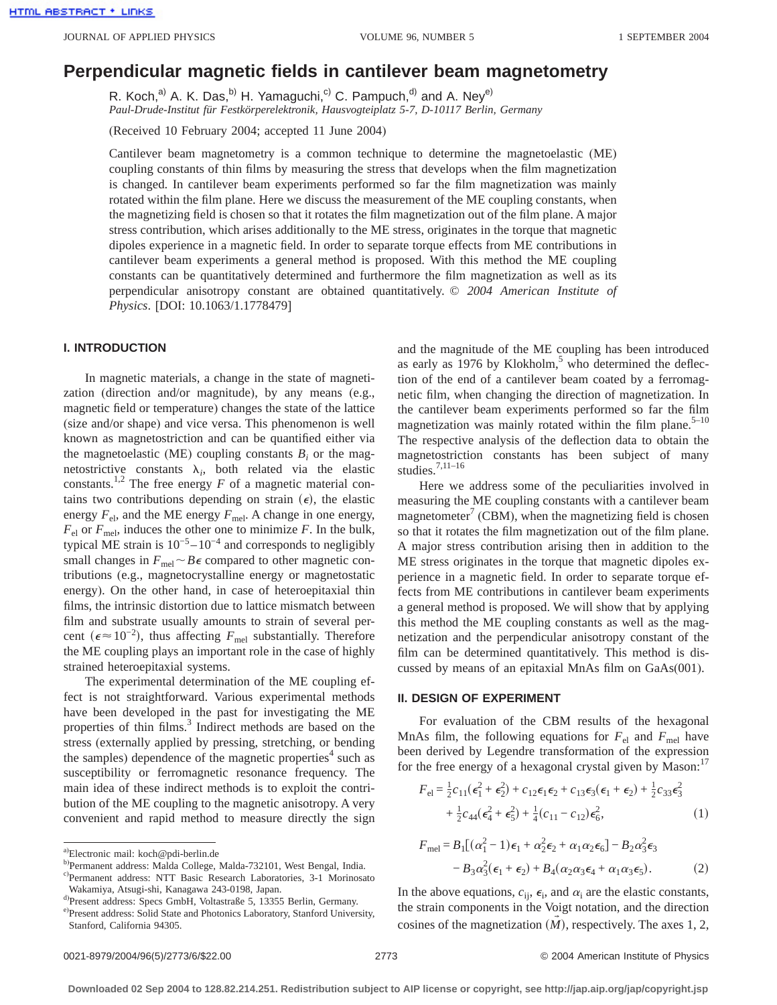# **Perpendicular magnetic fields in cantilever beam magnetometry**

R. Koch,<sup>a)</sup> A. K. Das,<sup>b)</sup> H. Yamaguchi,<sup>c)</sup> C. Pampuch,<sup>d)</sup> and A. Ney<sup>e)</sup> *Paul-Drude-Institut für Festkörperelektronik, Hausvogteiplatz 5-7, D-10117 Berlin, Germany*

(Received 10 February 2004; accepted 11 June 2004)

Cantilever beam magnetometry is a common technique to determine the magnetoelastic (ME) coupling constants of thin films by measuring the stress that develops when the film magnetization is changed. In cantilever beam experiments performed so far the film magnetization was mainly rotated within the film plane. Here we discuss the measurement of the ME coupling constants, when the magnetizing field is chosen so that it rotates the film magnetization out of the film plane. A major stress contribution, which arises additionally to the ME stress, originates in the torque that magnetic dipoles experience in a magnetic field. In order to separate torque effects from ME contributions in cantilever beam experiments a general method is proposed. With this method the ME coupling constants can be quantitatively determined and furthermore the film magnetization as well as its perpendicular anisotropy constant are obtained quantitatively. © *2004 American Institute of Physics*. [DOI: 10.1063/1.1778479]

## **I. INTRODUCTION**

In magnetic materials, a change in the state of magnetization (direction and/or magnitude), by any means (e.g., magnetic field or temperature) changes the state of the lattice (size and/or shape) and vice versa. This phenomenon is well known as magnetostriction and can be quantified either via the magnetoelastic (ME) coupling constants  $B_i$  or the magnetostrictive constants  $\lambda_i$ , both related via the elastic constants.<sup>1,2</sup> The free energy  $F$  of a magnetic material contains two contributions depending on strain  $(\epsilon)$ , the elastic energy  $F_{\text{el}}$ , and the ME energy  $F_{\text{mel}}$ . A change in one energy,  $F_{el}$  or  $F_{mel}$ , induces the other one to minimize *F*. In the bulk, typical ME strain is  $10^{-5} - 10^{-4}$  and corresponds to negligibly small changes in  $F_{\text{mel}} \sim B\epsilon$  compared to other magnetic contributions (e.g., magnetocrystalline energy or magnetostatic energy). On the other hand, in case of heteroepitaxial thin films, the intrinsic distortion due to lattice mismatch between film and substrate usually amounts to strain of several percent ( $\epsilon \approx 10^{-2}$ ), thus affecting *F*<sub>mel</sub> substantially. Therefore the ME coupling plays an important role in the case of highly strained heteroepitaxial systems.

The experimental determination of the ME coupling effect is not straightforward. Various experimental methods have been developed in the past for investigating the ME properties of thin films.<sup>3</sup> Indirect methods are based on the stress (externally applied by pressing, stretching, or bending the samples) dependence of the magnetic properties<sup>4</sup> such as susceptibility or ferromagnetic resonance frequency. The main idea of these indirect methods is to exploit the contribution of the ME coupling to the magnetic anisotropy. A very convenient and rapid method to measure directly the sign and the magnitude of the ME coupling has been introduced as early as 1976 by Klokholm, $5$  who determined the deflection of the end of a cantilever beam coated by a ferromagnetic film, when changing the direction of magnetization. In the cantilever beam experiments performed so far the film magnetization was mainly rotated within the film plane. $5-10$ The respective analysis of the deflection data to obtain the magnetostriction constants has been subject of many studies.7,11–16

Here we address some of the peculiarities involved in measuring the ME coupling constants with a cantilever beam magnetometer<sup> $\prime$ </sup> (CBM), when the magnetizing field is chosen so that it rotates the film magnetization out of the film plane. A major stress contribution arising then in addition to the ME stress originates in the torque that magnetic dipoles experience in a magnetic field. In order to separate torque effects from ME contributions in cantilever beam experiments a general method is proposed. We will show that by applying this method the ME coupling constants as well as the magnetization and the perpendicular anisotropy constant of the film can be determined quantitatively. This method is discussed by means of an epitaxial MnAs film on GaAs(001).

# **II. DESIGN OF EXPERIMENT**

For evaluation of the CBM results of the hexagonal MnAs film, the following equations for  $F_{el}$  and  $F_{mel}$  have been derived by Legendre transformation of the expression for the free energy of a hexagonal crystal given by Mason: $17$ 

$$
F_{\rm el} = \frac{1}{2}c_{11}(\epsilon_1^2 + \epsilon_2^2) + c_{12}\epsilon_1\epsilon_2 + c_{13}\epsilon_3(\epsilon_1 + \epsilon_2) + \frac{1}{2}c_{33}\epsilon_3^2 + \frac{1}{2}c_{44}(\epsilon_4^2 + \epsilon_5^2) + \frac{1}{4}(c_{11} - c_{12})\epsilon_6^2,
$$
 (1)

$$
F_{\text{mel}} = B_1[(\alpha_1^2 - 1)\epsilon_1 + \alpha_2^2 \epsilon_2 + \alpha_1 \alpha_2 \epsilon_6] - B_2 \alpha_3^2 \epsilon_3 - B_3 \alpha_3^2 (\epsilon_1 + \epsilon_2) + B_4(\alpha_2 \alpha_3 \epsilon_4 + \alpha_1 \alpha_3 \epsilon_5). \tag{2}
$$

In the above equations,  $c_{ij}$ ,  $\epsilon_i$ , and  $\alpha_i$  are the elastic constants, the strain components in the Voigt notation, and the direction cosines of the magnetization  $(M)$ , respectively. The axes 1, 2,

a) Electronic mail: koch@pdi-berlin.de

b) Permanent address: Malda College, Malda-732101, West Bengal, India.

c) Permanent address: NTT Basic Research Laboratories, 3-1 Morinosato Wakamiya, Atsugi-shi, Kanagawa 243-0198, Japan.

d) Present address: Specs GmbH, Voltastraße 5, 13355 Berlin, Germany.

e) Present address: Solid State and Photonics Laboratory, Stanford University, Stanford, California 94305.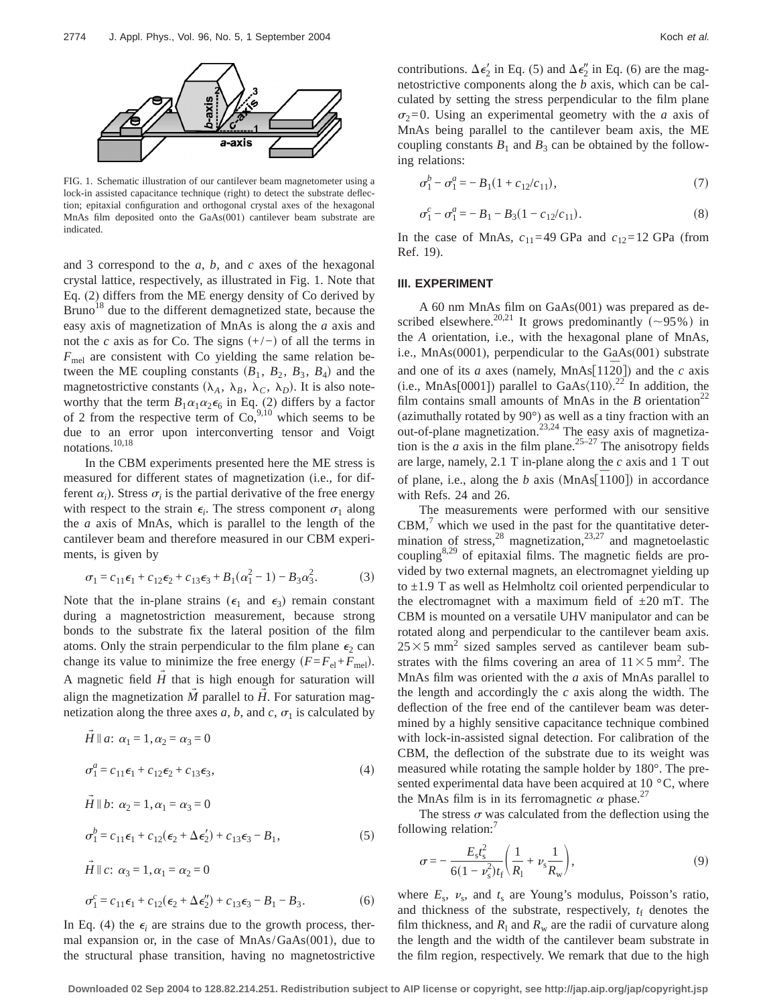

FIG. 1. Schematic illustration of our cantilever beam magnetometer using a lock-in assisted capacitance technique (right) to detect the substrate deflection; epitaxial configuration and orthogonal crystal axes of the hexagonal MnAs film deposited onto the GaAs(001) cantilever beam substrate are indicated.

and 3 correspond to the *a*, *b*, and *c* axes of the hexagonal crystal lattice, respectively, as illustrated in Fig. 1. Note that Eq. (2) differs from the ME energy density of Co derived by Bruno<sup>18</sup> due to the different demagnetized state, because the easy axis of magnetization of MnAs is along the *a* axis and not the *c* axis as for Co. The signs  $(+/-)$  of all the terms in  $F_{\text{mel}}$  are consistent with Co yielding the same relation between the ME coupling constants  $(B_1, B_2, B_3, B_4)$  and the magnetostrictive constants ( $\lambda_A$ ,  $\lambda_B$ ,  $\lambda_C$ ,  $\lambda_D$ ). It is also noteworthy that the term  $B_1\alpha_1\alpha_2\epsilon_6$  in Eq. (2) differs by a factor of 2 from the respective term of  $Co<sub>2</sub><sup>9,10</sup>$  which seems to be due to an error upon interconverting tensor and Voigt notations.<sup>10,18</sup>

In the CBM experiments presented here the ME stress is measured for different states of magnetization (i.e., for different  $\alpha_i$ ). Stress  $\sigma_i$  is the partial derivative of the free energy with respect to the strain  $\epsilon_i$ . The stress component  $\sigma_1$  along the *a* axis of MnAs, which is parallel to the length of the cantilever beam and therefore measured in our CBM experiments, is given by

$$
\sigma_1 = c_{11}\epsilon_1 + c_{12}\epsilon_2 + c_{13}\epsilon_3 + B_1(\alpha_1^2 - 1) - B_3\alpha_3^2. \tag{3}
$$

Note that the in-plane strains ( $\epsilon_1$  and  $\epsilon_3$ ) remain constant during a magnetostriction measurement, because strong bonds to the substrate fix the lateral position of the film atoms. Only the strain perpendicular to the film plane  $\epsilon_2$  can change its value to minimize the free energy  $(F=F_{el}+F_{mel})$ . A magnetic field  $\tilde{H}$  that is high enough for saturation will align the magnetization  $\dot{M}$  parallel to  $\dot{H}$ . For saturation magnetization along the three axes *a*, *b*, and *c*,  $\sigma_1$  is calculated by

$$
\vec{H} \parallel a: \alpha_1 = 1, \alpha_2 = \alpha_3 = 0
$$
  

$$
\sigma_1^a = c_{11} \epsilon_1 + c_{12} \epsilon_2 + c_{13} \epsilon_3,
$$
 (4)

$$
\vec{H} \parallel b: \alpha_2 = 1, \alpha_1 = \alpha_3 = 0
$$
  
\n
$$
\sigma_1^b = c_{11} \epsilon_1 + c_{12} (\epsilon_2 + \Delta \epsilon_2') + c_{13} \epsilon_3 - B_1,
$$
  
\n
$$
\vec{H} \parallel c: \alpha_2 = 1, \alpha_3 = \alpha_2 = 0
$$
\n(5)

$$
\sigma_1^c = c_{11}\epsilon_1 + c_{12}(\epsilon_2 + \Delta \epsilon_2^{\prime\prime}) + c_{13}\epsilon_3 - B_1 - B_3.
$$
 (6)

In Eq. (4) the  $\epsilon_i$  are strains due to the growth process, thermal expansion or, in the case of  $MnAs/GaAs(001)$ , due to the structural phase transition, having no magnetostrictive

contributions.  $\Delta \epsilon_2'$  in Eq. (5) and  $\Delta \epsilon_2''$  in Eq. (6) are the magnetostrictive components along the *b* axis, which can be calculated by setting the stress perpendicular to the film plane  $\sigma_2=0$ . Using an experimental geometry with the *a* axis of MnAs being parallel to the cantilever beam axis, the ME coupling constants  $B_1$  and  $B_3$  can be obtained by the following relations:

$$
\sigma_1^b - \sigma_1^a = -B_1(1 + c_{12}/c_{11}),\tag{7}
$$

$$
\sigma_1^c - \sigma_1^a = -B_1 - B_3(1 - c_{12}/c_{11}).\tag{8}
$$

In the case of MnAs,  $c_{11}=49$  GPa and  $c_{12}=12$  GPa (from Ref. 19).

#### **III. EXPERIMENT**

A 60 nm MnAs film on GaAs(001) was prepared as described elsewhere.<sup>20,21</sup> It grows predominantly  $(\sim 95\%)$  in the *A* orientation, i.e., with the hexagonal plane of MnAs, i.e., MnAs(0001), perpendicular to the GaAs(001) substrate and one of its *a* axes (namely,  $MnAs[11\overline{2}0]$ ) and the *c* axis (i.e., MnAs[0001]) parallel to GaAs $(110)$ <sup>22</sup> In addition, the film contains small amounts of MnAs in the  $B$  orientation<sup>22</sup> (azimuthally rotated by 90°) as well as a tiny fraction with an out-of-plane magnetization.<sup>23,24</sup> The easy axis of magnetization is the *a* axis in the film plane.<sup>25-27</sup> The anisotropy fields are large, namely, 2.1 T in-plane along the *c* axis and 1 T out of plane, i.e., along the *b* axis  $(MnAs<sup>[1100]</sup>)$  in accordance with Refs. 24 and 26.

The measurements were performed with our sensitive  $CBM$ , $\alpha$  which we used in the past for the quantitative determination of stress,  $^{28}$  magnetization,  $^{23,27}$  and magnetoelastic coupling<sup>8,29</sup> of epitaxial films. The magnetic fields are provided by two external magnets, an electromagnet yielding up to  $\pm$ 1.9 T as well as Helmholtz coil oriented perpendicular to the electromagnet with a maximum field of  $\pm 20$  mT. The CBM is mounted on a versatile UHV manipulator and can be rotated along and perpendicular to the cantilever beam axis.  $25\times5$  mm<sup>2</sup> sized samples served as cantilever beam substrates with the films covering an area of  $11 \times 5$  mm<sup>2</sup>. The MnAs film was oriented with the *a* axis of MnAs parallel to the length and accordingly the *c* axis along the width. The deflection of the free end of the cantilever beam was determined by a highly sensitive capacitance technique combined with lock-in-assisted signal detection. For calibration of the CBM, the deflection of the substrate due to its weight was measured while rotating the sample holder by 180°. The presented experimental data have been acquired at  $10^{\circ}$ C, where the MnAs film is in its ferromagnetic  $\alpha$  phase.<sup>27</sup>

The stress  $\sigma$  was calculated from the deflection using the following relation:<sup>7</sup>

$$
\sigma = -\frac{E_s t_s^2}{6(1 - \nu_s^2)t_f} \left( \frac{1}{R_1} + \nu_s \frac{1}{R_w} \right),\tag{9}
$$

where  $E_s$ ,  $v_s$ , and  $t_s$  are Young's modulus, Poisson's ratio, and thickness of the substrate, respectively,  $t_f$  denotes the film thickness, and  $R_1$  and  $R_w$  are the radii of curvature along the length and the width of the cantilever beam substrate in the film region, respectively. We remark that due to the high

**Downloaded 02 Sep 2004 to 128.82.214.251. Redistribution subject to AIP license or copyright, see http://jap.aip.org/jap/copyright.jsp**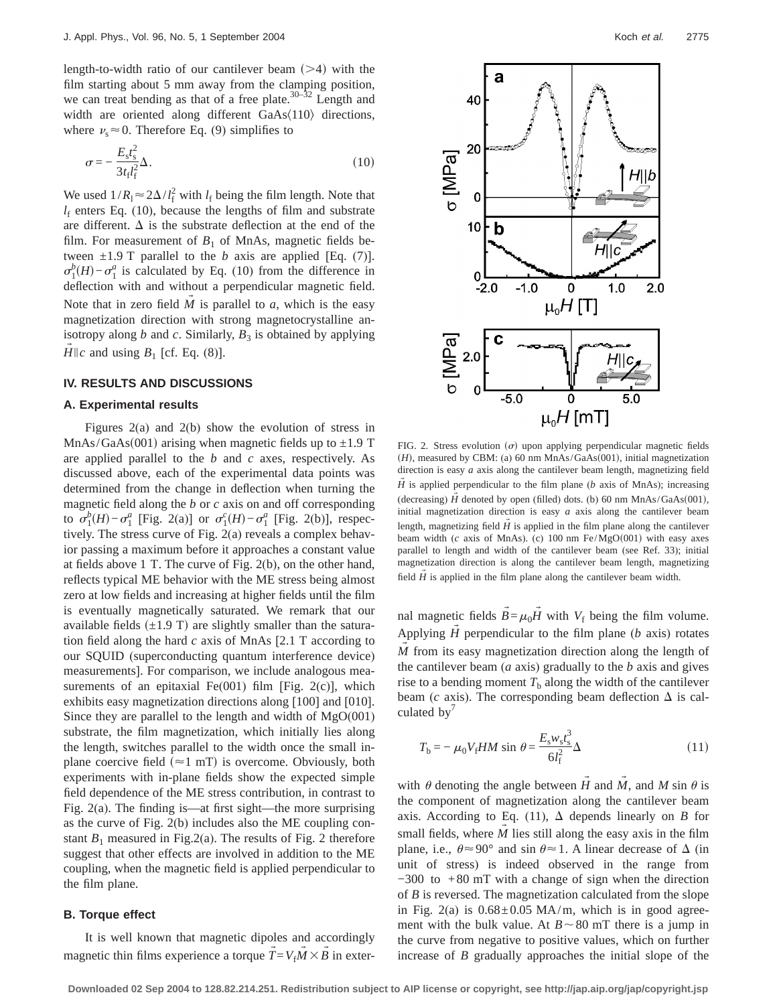length-to-width ratio of our cantilever beam  $($ >4) with the film starting about 5 mm away from the clamping position, we can treat bending as that of a free plate.<sup>30–32</sup> Length and width are oriented along different  $GaAs(110)$  directions, where  $\nu_s \approx 0$ . Therefore Eq. (9) simplifies to

$$
\sigma = -\frac{E_s t_s^2}{3t_t l_f^2} \Delta. \tag{10}
$$

We used  $1/R_1 \approx 2\Delta/l_f^2$  with  $l_f$  being the film length. Note that  $l_f$  enters Eq. (10), because the lengths of film and substrate are different.  $\Delta$  is the substrate deflection at the end of the film. For measurement of  $B_1$  of MnAs, magnetic fields between  $\pm 1.9$  T parallel to the *b* axis are applied [Eq. (7)].  $\sigma_1^b(H) - \sigma_1^a$  is calculated by Eq. (10) from the difference in deflection with and without a perpendicular magnetic field. Note that in zero field  $M$  is parallel to  $a$ , which is the easy magnetization direction with strong magnetocrystalline anisotropy along  $b$  and  $c$ . Similarly,  $B_3$  is obtained by applying *H* $\|c\|$  and using  $B_1$  [cf. Eq. (8)].

#### **IV. RESULTS AND DISCUSSIONS**

### **A. Experimental results**

Figures 2(a) and 2(b) show the evolution of stress in MnAs/GaAs(001) arising when magnetic fields up to  $\pm 1.9$  T are applied parallel to the *b* and *c* axes, respectively. As discussed above, each of the experimental data points was determined from the change in deflection when turning the magnetic field along the *b* or *c* axis on and off corresponding to  $\sigma_1^b(H) - \sigma_1^a$  [Fig. 2(a)] or  $\sigma_1^c(H) - \sigma_1^a$  [Fig. 2(b)], respectively. The stress curve of Fig. 2(a) reveals a complex behavior passing a maximum before it approaches a constant value at fields above 1 T. The curve of Fig. 2(b), on the other hand, reflects typical ME behavior with the ME stress being almost zero at low fields and increasing at higher fields until the film is eventually magnetically saturated. We remark that our available fields  $(\pm 1.9 \text{ T})$  are slightly smaller than the saturation field along the hard *c* axis of MnAs [2.1 T according to our SQUID (superconducting quantum interference device) measurements]. For comparison, we include analogous measurements of an epitaxial  $Fe(001)$  film [Fig. 2(c)], which exhibits easy magnetization directions along [100] and [010]. Since they are parallel to the length and width of  $MgO(001)$ substrate, the film magnetization, which initially lies along the length, switches parallel to the width once the small inplane coercive field ( $\approx$ 1 mT) is overcome. Obviously, both experiments with in-plane fields show the expected simple field dependence of the ME stress contribution, in contrast to Fig. 2(a). The finding is—at first sight—the more surprising as the curve of Fig. 2(b) includes also the ME coupling constant  $B_1$  measured in Fig. 2(a). The results of Fig. 2 therefore suggest that other effects are involved in addition to the ME coupling, when the magnetic field is applied perpendicular to the film plane.

## **B. Torque effect**

It is well known that magnetic dipoles and accordingly magnetic thin films experience a torque  $\vec{T} = V_f \vec{M} \times \vec{B}$  in exter-



FIG. 2. Stress evolution  $(\sigma)$  upon applying perpendicular magnetic fields  $(H)$ , measured by CBM: (a) 60 nm MnAs/GaAs(001), initial magnetization direction is easy *a* axis along the cantilever beam length, magnetizing field  $H$  is applied perpendicular to the film plane ( $b$  axis of MnAs); increasing (decreasing)  $H$  denoted by open (filled) dots. (b) 60 nm MnAs/GaAs $(001)$ , initial magnetization direction is easy *a* axis along the cantilever beam length, magnetizing field  $\hat{H}$  is applied in the film plane along the cantilever beam width (*c* axis of MnAs). (c) 100 nm Fe/MgO(001) with easy axes parallel to length and width of the cantilever beam (see Ref. 33); initial magnetization direction is along the cantilever beam length, magnetizing field  $H$  is applied in the film plane along the cantilever beam width.

nal magnetic fields  $\vec{B} = \mu_0 \vec{H}$  with  $V_f$  being the film volume. Applying  $H$  perpendicular to the film plane ( $b$  axis) rotates *M* from its easy magnetization direction along the length of the cantilever beam (*a* axis) gradually to the *b* axis and gives rise to a bending moment  $T<sub>b</sub>$  along the width of the cantilever beam ( $c$  axis). The corresponding beam deflection  $\Delta$  is calculated by $'$ 

$$
T_{\rm b} = -\mu_0 V_{\rm f} H M \sin \theta = \frac{E_{\rm s} w_{\rm s} t_{\rm s}^3}{6l_{\rm f}^2} \Delta \tag{11}
$$

with  $\theta$  denoting the angle between *H* and *M*, and *M* sin  $\theta$  is the component of magnetization along the cantilever beam axis. According to Eq. (11),  $\Delta$  depends linearly on *B* for small fields, where  $M$  lies still along the easy axis in the film plane, i.e.,  $\theta \approx 90^{\circ}$  and sin  $\theta \approx 1$ . A linear decrease of  $\Delta$  (in unit of stress) is indeed observed in the range from −300 to +80 mT with a change of sign when the direction of *B* is reversed. The magnetization calculated from the slope in Fig. 2(a) is  $0.68 \pm 0.05$  MA/m, which is in good agreement with the bulk value. At  $B \sim 80$  mT there is a jump in the curve from negative to positive values, which on further increase of *B* gradually approaches the initial slope of the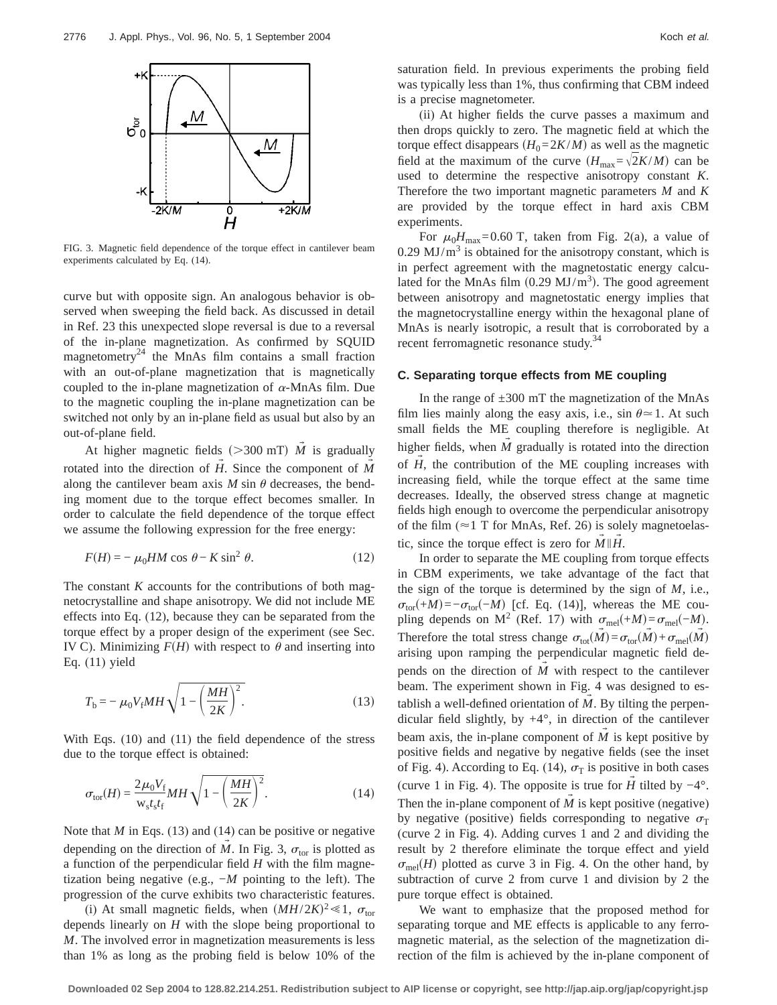

FIG. 3. Magnetic field dependence of the torque effect in cantilever beam experiments calculated by Eq. (14).

curve but with opposite sign. An analogous behavior is observed when sweeping the field back. As discussed in detail in Ref. 23 this unexpected slope reversal is due to a reversal of the in-plane magnetization. As confirmed by SQUID magnetometry<sup>24</sup> the MnAs film contains a small fraction with an out-of-plane magnetization that is magnetically coupled to the in-plane magnetization of  $\alpha$ -MnAs film. Due to the magnetic coupling the in-plane magnetization can be switched not only by an in-plane field as usual but also by an out-of-plane field.

At higher magnetic fields ( $>300$  mT) *M* is gradually rotated into the direction of *H*. Since the component of *M* along the cantilever beam axis  $M \sin \theta$  decreases, the bending moment due to the torque effect becomes smaller. In order to calculate the field dependence of the torque effect we assume the following expression for the free energy:

$$
F(H) = -\mu_0 H M \cos \theta - K \sin^2 \theta. \tag{12}
$$

The constant *K* accounts for the contributions of both magnetocrystalline and shape anisotropy. We did not include ME effects into Eq. (12), because they can be separated from the torque effect by a proper design of the experiment (see Sec. IV C). Minimizing  $F(H)$  with respect to  $\theta$  and inserting into Eq. (11) yield

$$
T_{\rm b} = -\mu_0 V_{\rm f} M H \sqrt{1 - \left(\frac{MH}{2K}\right)^2}.
$$
 (13)

With Eqs. (10) and (11) the field dependence of the stress due to the torque effect is obtained:

$$
\sigma_{\text{tor}}(H) = \frac{2\mu_0 V_f}{\mathbf{w}_s t_s t_f} M H \sqrt{1 - \left(\frac{MH}{2K}\right)^2}.
$$
\n(14)

Note that *M* in Eqs. (13) and (14) can be positive or negative depending on the direction of *M*. In Fig. 3,  $\sigma_{\text{tor}}$  is plotted as a function of the perpendicular field *H* with the film magnetization being negative (e.g., −*M* pointing to the left). The progression of the curve exhibits two characteristic features.

(i) At small magnetic fields, when  $(MH/2K)^2 \ll 1$ ,  $\sigma_{\text{tor}}$ depends linearly on *H* with the slope being proportional to *M*. The involved error in magnetization measurements is less than 1% as long as the probing field is below 10% of the

(ii) At higher fields the curve passes a maximum and then drops quickly to zero. The magnetic field at which the torque effect disappears  $(H_0=2K/M)$  as well as the magnetic field at the maximum of the curve  $(H_{\text{max}}=\sqrt{2K/M})$  can be used to determine the respective anisotropy constant *K*. Therefore the two important magnetic parameters *M* and *K* are provided by the torque effect in hard axis CBM experiments.

For  $\mu_0 H_{\text{max}} = 0.60 \text{ T}$ , taken from Fig. 2(a), a value of  $0.29$  MJ/m<sup>3</sup> is obtained for the anisotropy constant, which is in perfect agreement with the magnetostatic energy calculated for the MnAs film  $(0.29 \text{ MJ/m}^3)$ . The good agreement between anisotropy and magnetostatic energy implies that the magnetocrystalline energy within the hexagonal plane of MnAs is nearly isotropic, a result that is corroborated by a recent ferromagnetic resonance study.<sup>34</sup>

## **C. Separating torque effects from ME coupling**

In the range of  $\pm 300$  mT the magnetization of the MnAs film lies mainly along the easy axis, i.e., sin  $\theta \approx 1$ . At such small fields the ME coupling therefore is negligible. At higher fields, when  $\tilde{M}$  gradually is rotated into the direction of *H*, the contribution of the ME coupling increases with increasing field, while the torque effect at the same time decreases. Ideally, the observed stress change at magnetic fields high enough to overcome the perpendicular anisotropy of the film ( $\approx$ 1 T for MnAs, Ref. 26) is solely magnetoelastic, since the torque effect is zero for  $\vec{M}||\vec{H}$ .

In order to separate the ME coupling from torque effects in CBM experiments, we take advantage of the fact that the sign of the torque is determined by the sign of *M*, i.e.,  $\sigma_{\text{tor}}(+M)=-\sigma_{\text{tor}}(-M)$  [cf. Eq. (14)], whereas the ME coupling depends on M<sup>2</sup> (Ref. 17) with  $\sigma_{\text{mel}}(+M) = \sigma_{\text{mel}}(-M)$ . Therefore the total stress change  $\sigma_{\text{tot}}(M) = \sigma_{\text{tor}}(M) + \sigma_{\text{mel}}(M)$ arising upon ramping the perpendicular magnetic field depends on the direction of  $\dot{M}$  with respect to the cantilever beam. The experiment shown in Fig. 4 was designed to establish a well-defined orientation of  $\dot{M}$ . By tilting the perpendicular field slightly, by  $+4^{\circ}$ , in direction of the cantilever beam axis, the in-plane component of  $M$  is kept positive by positive fields and negative by negative fields (see the inset of Fig. 4). According to Eq. (14),  $\sigma_T$  is positive in both cases (curve 1 in Fig. 4). The opposite is true for *H* tilted by  $-4^{\circ}$ . Then the in-plane component of  $\tilde{M}$  is kept positive (negative) by negative (positive) fields corresponding to negative  $\sigma$ <sub>T</sub> (curve 2 in Fig. 4). Adding curves 1 and 2 and dividing the result by 2 therefore eliminate the torque effect and yield  $\sigma_{\text{mel}}(H)$  plotted as curve 3 in Fig. 4. On the other hand, by subtraction of curve 2 from curve 1 and division by 2 the pure torque effect is obtained.

We want to emphasize that the proposed method for separating torque and ME effects is applicable to any ferromagnetic material, as the selection of the magnetization direction of the film is achieved by the in-plane component of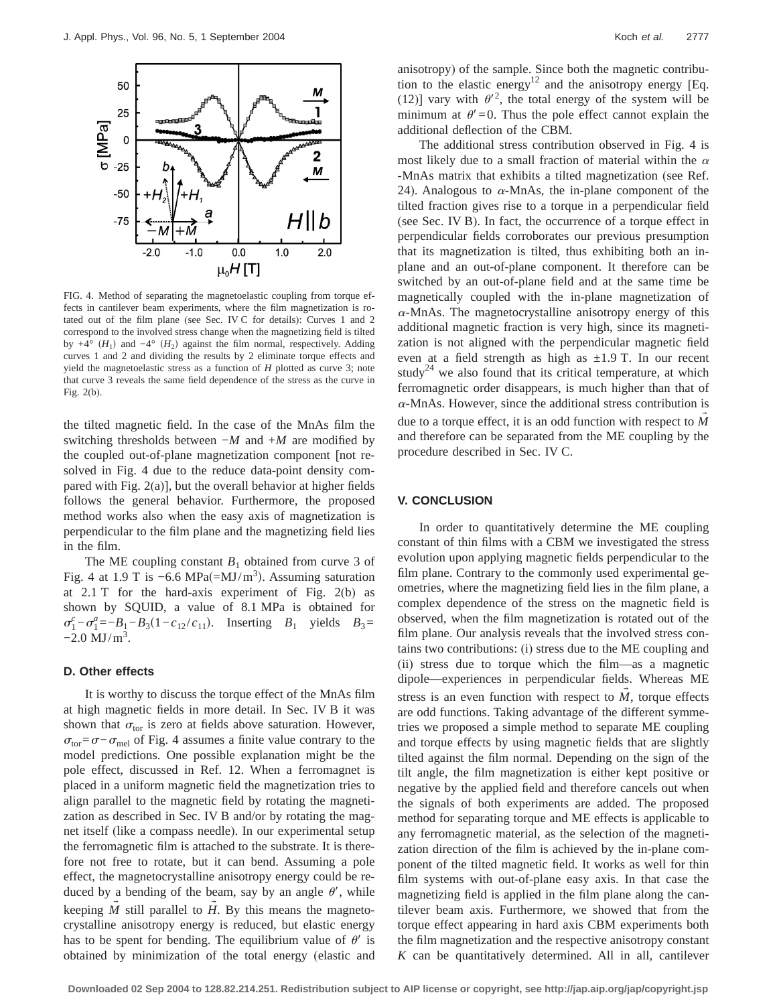

FIG. 4. Method of separating the magnetoelastic coupling from torque effects in cantilever beam experiments, where the film magnetization is rotated out of the film plane (see Sec. IV C for details): Curves 1 and 2 correspond to the involved stress change when the magnetizing field is tilted by  $+4^{\circ}$  (*H*<sub>1</sub>) and  $-4^{\circ}$  (*H*<sub>2</sub>) against the film normal, respectively. Adding curves 1 and 2 and dividing the results by 2 eliminate torque effects and yield the magnetoelastic stress as a function of *H* plotted as curve 3; note that curve 3 reveals the same field dependence of the stress as the curve in Fig. 2(b).

the tilted magnetic field. In the case of the MnAs film the switching thresholds between −*M* and +*M* are modified by the coupled out-of-plane magnetization component [not resolved in Fig. 4 due to the reduce data-point density compared with Fig. 2(a)], but the overall behavior at higher fields follows the general behavior. Furthermore, the proposed method works also when the easy axis of magnetization is perpendicular to the film plane and the magnetizing field lies in the film.

The ME coupling constant  $B_1$  obtained from curve 3 of Fig. 4 at 1.9 T is  $-6.6$  MPa(=MJ/m<sup>3</sup>). Assuming saturation at 2.1 T for the hard-axis experiment of Fig. 2(b) as shown by SQUID, a value of 8.1 MPa is obtained for  $\sigma_1^c - \sigma_1^a = -B_1 - B_3(1 - c_{12}/c_{11})$ . Inserting *B*<sub>1</sub> yields *B*<sub>3</sub>=  $-2.0 \text{ MJ/m}^3$ .

# **D. Other effects**

It is worthy to discuss the torque effect of the MnAs film at high magnetic fields in more detail. In Sec. IV B it was shown that  $\sigma_{\text{tor}}$  is zero at fields above saturation. However,  $\sigma_{\text{tor}} = \sigma - \sigma_{\text{mel}}$  of Fig. 4 assumes a finite value contrary to the model predictions. One possible explanation might be the pole effect, discussed in Ref. 12. When a ferromagnet is placed in a uniform magnetic field the magnetization tries to align parallel to the magnetic field by rotating the magnetization as described in Sec. IV B and/or by rotating the magnet itself (like a compass needle). In our experimental setup the ferromagnetic film is attached to the substrate. It is therefore not free to rotate, but it can bend. Assuming a pole effect, the magnetocrystalline anisotropy energy could be reduced by a bending of the beam, say by an angle  $\theta'$ , while keeping  $M$  still parallel to  $H$ . By this means the magnetocrystalline anisotropy energy is reduced, but elastic energy has to be spent for bending. The equilibrium value of  $\theta'$  is obtained by minimization of the total energy (elastic and anisotropy) of the sample. Since both the magnetic contribution to the elastic energy<sup>12</sup> and the anisotropy energy [Eq. (12)] vary with  $\theta'^2$ , the total energy of the system will be minimum at  $\theta' = 0$ . Thus the pole effect cannot explain the additional deflection of the CBM.

The additional stress contribution observed in Fig. 4 is most likely due to a small fraction of material within the  $\alpha$ -MnAs matrix that exhibits a tilted magnetization (see Ref. 24). Analogous to  $\alpha$ -MnAs, the in-plane component of the tilted fraction gives rise to a torque in a perpendicular field (see Sec. IV B). In fact, the occurrence of a torque effect in perpendicular fields corroborates our previous presumption that its magnetization is tilted, thus exhibiting both an inplane and an out-of-plane component. It therefore can be switched by an out-of-plane field and at the same time be magnetically coupled with the in-plane magnetization of  $\alpha$ -MnAs. The magnetocrystalline anisotropy energy of this additional magnetic fraction is very high, since its magnetization is not aligned with the perpendicular magnetic field even at a field strength as high as  $\pm 1.9$  T. In our recent study<sup>24</sup> we also found that its critical temperature, at which ferromagnetic order disappears, is much higher than that of <sup>a</sup>-MnAs. However, since the additional stress contribution is due to a torque effect, it is an odd function with respect to M and therefore can be separated from the ME coupling by the procedure described in Sec. IV C.

## **V. CONCLUSION**

In order to quantitatively determine the ME coupling constant of thin films with a CBM we investigated the stress evolution upon applying magnetic fields perpendicular to the film plane. Contrary to the commonly used experimental geometries, where the magnetizing field lies in the film plane, a complex dependence of the stress on the magnetic field is observed, when the film magnetization is rotated out of the film plane. Our analysis reveals that the involved stress contains two contributions: (i) stress due to the ME coupling and (ii) stress due to torque which the film—as a magnetic dipole—experiences in perpendicular fields. Whereas ME stress is an even function with respect to  $M$ , torque effects are odd functions. Taking advantage of the different symmetries we proposed a simple method to separate ME coupling and torque effects by using magnetic fields that are slightly tilted against the film normal. Depending on the sign of the tilt angle, the film magnetization is either kept positive or negative by the applied field and therefore cancels out when the signals of both experiments are added. The proposed method for separating torque and ME effects is applicable to any ferromagnetic material, as the selection of the magnetization direction of the film is achieved by the in-plane component of the tilted magnetic field. It works as well for thin film systems with out-of-plane easy axis. In that case the magnetizing field is applied in the film plane along the cantilever beam axis. Furthermore, we showed that from the torque effect appearing in hard axis CBM experiments both the film magnetization and the respective anisotropy constant *K* can be quantitatively determined. All in all, cantilever